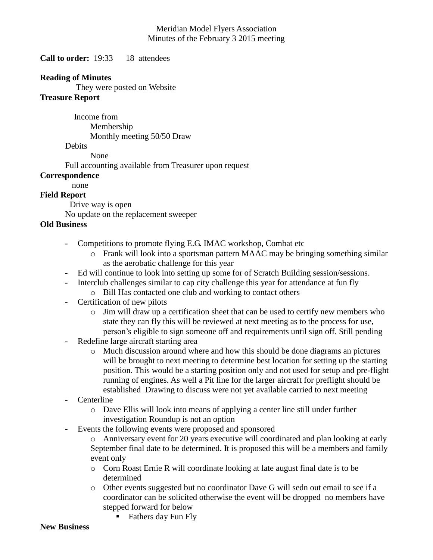#### Meridian Model Flyers Association Minutes of the February 3 2015 meeting

**Call to order:** 19:33 18 attendees

#### **Reading of Minutes**

They were posted on Website

#### **Treasure Report**

 Income from Membership Monthly meeting 50/50 Draw

**Debits** 

None

Full accounting available from Treasurer upon request

#### **Correspondence**

# none

## **Field Report**

Drive way is open

No update on the replacement sweeper

### **Old Business**

- Competitions to promote flying E.G. IMAC workshop, Combat etc
	- o Frank will look into a sportsman pattern MAAC may be bringing something similar as the aerobatic challenge for this year
- Ed will continue to look into setting up some for of Scratch Building session/sessions.
- Interclub challenges similar to cap city challenge this year for attendance at fun fly
	- o Bill Has contacted one club and working to contact others
- Certification of new pilots
	- $\circ$  Jim will draw up a certification sheet that can be used to certify new members who state they can fly this will be reviewed at next meeting as to the process for use, person's eligible to sign someone off and requirements until sign off. Still pending
- Redefine large aircraft starting area
	- o Much discussion around where and how this should be done diagrams an pictures will be brought to next meeting to determine best location for setting up the starting position. This would be a starting position only and not used for setup and pre-flight running of engines. As well a Pit line for the larger aircraft for preflight should be established Drawing to discuss were not yet available carried to next meeting
- Centerline
	- o Dave Ellis will look into means of applying a center line still under further investigation Roundup is not an option
- Events the following events were proposed and sponsored

o Anniversary event for 20 years executive will coordinated and plan looking at early September final date to be determined. It is proposed this will be a members and family event only

- o Corn Roast Ernie R will coordinate looking at late august final date is to be determined
- o Other events suggested but no coordinator Dave G will sedn out email to see if a coordinator can be solicited otherwise the event will be dropped no members have stepped forward for below
	- Fathers day Fun Fly